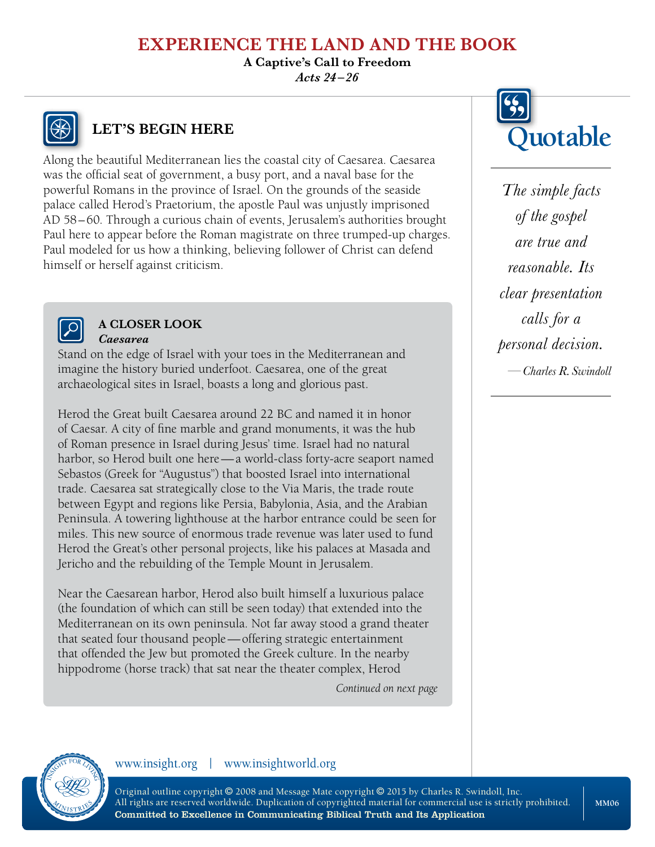# **EXPERIENCE THE LAND AND THE BOOK**

**A Captive's Call to Freedom**

*Acts 24 –26*



# **LET'S BEGIN HERE**

Along the beautiful Mediterranean lies the coastal city of Caesarea. Caesarea was the official seat of government, a busy port, and a naval base for the powerful Romans in the province of Israel. On the grounds of the seaside palace called Herod's Praetorium, the apostle Paul was unjustly imprisoned AD 58–60. Through a curious chain of events, Jerusalem's authorities brought Paul here to appear before the Roman magistrate on three trumped-up charges. Paul modeled for us how a thinking, believing follower of Christ can defend himself or herself against criticism.



#### **A CLOSER LOOK** *Caesarea*

Stand on the edge of Israel with your toes in the Mediterranean and imagine the history buried underfoot. Caesarea, one of the great archaeological sites in Israel, boasts a long and glorious past.

Herod the Great built Caesarea around 22 BC and named it in honor of Caesar. A city of fine marble and grand monuments, it was the hub of Roman presence in Israel during Jesus' time. Israel had no natural harbor, so Herod built one here—a world-class forty-acre seaport named Sebastos (Greek for "Augustus") that boosted Israel into international trade. Caesarea sat strategically close to the Via Maris, the trade route between Egypt and regions like Persia, Babylonia, Asia, and the Arabian Peninsula. A towering lighthouse at the harbor entrance could be seen for miles. This new source of enormous trade revenue was later used to fund Herod the Great's other personal projects, like his palaces at Masada and Jericho and the rebuilding of the Temple Mount in Jerusalem.

Near the Caesarean harbor, Herod also built himself a luxurious palace (the foundation of which can still be seen today) that extended into the Mediterranean on its own peninsula. Not far away stood a grand theater that seated four thousand people—offering strategic entertainment that offended the Jew but promoted the Greek culture. In the nearby hippodrome (horse track) that sat near the theater complex, Herod

*Continued on next page*



*The simple facts of the gospel are true and reasonable. Its clear presentation calls for a personal decision. —Charles R. Swindoll*



www.insight.org | www.insightworld.org

Original outline copyright © 2008 and Message Mate copyright © 2015 by Charles R. Swindoll, Inc. All rights are reserved worldwide. Duplication of copyrighted material for commercial use is strictly prohibited. Committed to Excellence in Communicating Biblical Truth and Its Application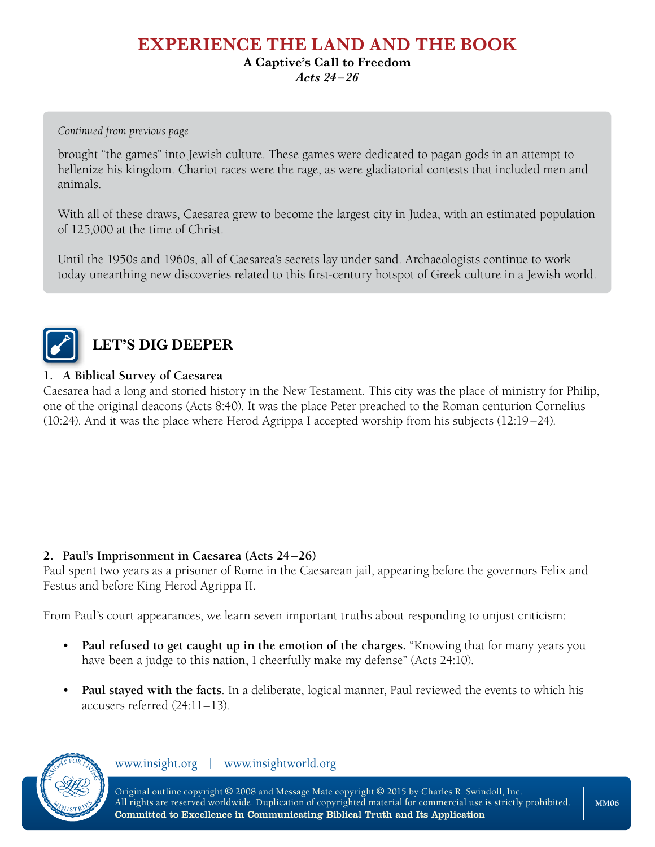### **EXPERIENCE THE LAND AND THE BOOK**

#### **A Captive's Call to Freedom**

*Acts 24 –26*

*Continued from previous page*

brought "the games" into Jewish culture. These games were dedicated to pagan gods in an attempt to hellenize his kingdom. Chariot races were the rage, as were gladiatorial contests that included men and animals.

With all of these draws, Caesarea grew to become the largest city in Judea, with an estimated population of 125,000 at the time of Christ.

Until the 1950s and 1960s, all of Caesarea's secrets lay under sand. Archaeologists continue to work today unearthing new discoveries related to this first-century hotspot of Greek culture in a Jewish world.



# **LET'S DIG DEEPER**

#### **1. A Biblical Survey of Caesarea**

Caesarea had a long and storied history in the New Testament. This city was the place of ministry for Philip, one of the original deacons (Acts 8:40). It was the place Peter preached to the Roman centurion Cornelius (10:24). And it was the place where Herod Agrippa I accepted worship from his subjects (12:19–24).

#### **2. Paul's Imprisonment in Caesarea (Acts 24–26)**

Paul spent two years as a prisoner of Rome in the Caesarean jail, appearing before the governors Felix and Festus and before King Herod Agrippa II.

From Paul's court appearances, we learn seven important truths about responding to unjust criticism:

- **Paul refused to get caught up in the emotion of the charges.** "Knowing that for many years you have been a judge to this nation, I cheerfully make my defense" (Acts 24:10).
- **Paul stayed with the facts**. In a deliberate, logical manner, Paul reviewed the events to which his accusers referred (24:11–13).



www.insight.org | www.insightworld.org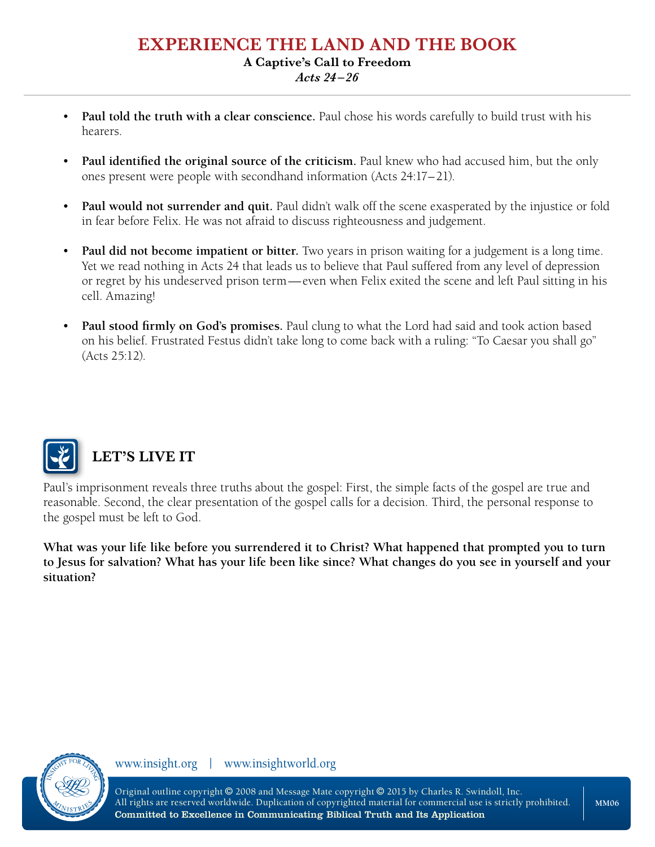### **EXPERIENCE THE LAND AND THE BOOK A Captive's Call to Freedom**

*Acts 24 –26*

- **Paul told the truth with a clear conscience.** Paul chose his words carefully to build trust with his hearers.
- **Paul identified the original source of the criticism.** Paul knew who had accused him, but the only ones present were people with secondhand information (Acts 24:17–21).
- **Paul would not surrender and quit.** Paul didn't walk off the scene exasperated by the injustice or fold in fear before Felix. He was not afraid to discuss righteousness and judgement.
- **Paul did not become impatient or bitter.** Two years in prison waiting for a judgement is a long time. Yet we read nothing in Acts 24 that leads us to believe that Paul suffered from any level of depression or regret by his undeserved prison term—even when Felix exited the scene and left Paul sitting in his cell. Amazing!
- **Paul stood firmly on God's promises.** Paul clung to what the Lord had said and took action based on his belief. Frustrated Festus didn't take long to come back with a ruling: "To Caesar you shall go" (Acts 25:12).



# **LET'S LIVE IT**

Paul's imprisonment reveals three truths about the gospel: First, the simple facts of the gospel are true and reasonable. Second, the clear presentation of the gospel calls for a decision. Third, the personal response to the gospel must be left to God.

**What was your life like before you surrendered it to Christ? What happened that prompted you to turn to Jesus for salvation? What has your life been like since? What changes do you see in yourself and your situation?**



www.insight.org | www.insightworld.org

Original outline copyright © 2008 and Message Mate copyright © 2015 by Charles R. Swindoll, Inc. All rights are reserved worldwide. Duplication of copyrighted material for commercial use is strictly prohibited. Committed to Excellence in Communicating Biblical Truth and Its Application

**MM06**